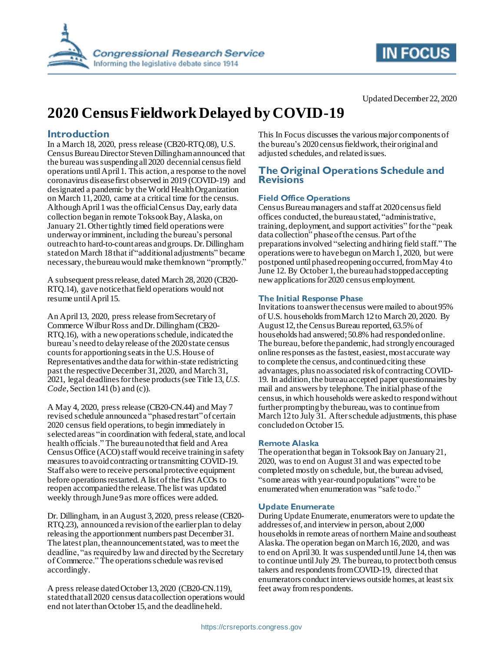



#### Updated December 22, 2020

# **2020 Census Fieldwork Delayed by COVID-19**

## **Introduction**

In a March 18, 2020, press release (CB20-RTQ.08), U.S. Census Bureau Director Steven Dillingham announced that the bureau wassuspendingall 2020 decennial census field operations until April 1. This action, a response to the novel coronavirus disease first observed in 2019 (COVID-19) and designated a pandemic by the World Health Organization on March 11, 2020, came at a critical time for the census. Although April 1 was the official Census Day, early data collection began in remote Toksook Bay,Alaska, on January 21.Other tightly timed field operations were underway or imminent, including the bureau's personal outreach to hard-to-count areas and groups. Dr.Dillingham stated on March 18 that if "additional adjustments" became necessary, the bureau would make them known "promptly."

A subsequent press release, dated March 28, 2020 (CB20- RTQ.14), gave notice that field operations would not resume untilApril 15.

An April 13, 2020, press release from Secretary of Commerce Wilbur Ross and Dr. Dillingham (CB20- RTQ.16), with a new operations schedule, indicated the bureau's needto delayrelease of the 2020 state census counts for apportioning seats in the U.S. House of Representatives and the data for within-state redistricting past the respective December 31, 2020, and March 31, 2021, legal deadlines for these products(see Title 13, *U.S. Code*, Section 141 (b) and (c)).

A May 4, 2020, press release (CB20-CN.44) and May 7 revised schedule announced a "phased restart"of certain 2020 census field operations, to begin immediately in selected areas "in coordination with federal, state, and local health officials." The bureau noted that field and Area Census Office (ACO) staff would receive training in safety measures to avoidcontracting or transmitting COVID-19. Staff also were to receive personal protective equipment before operations restarted.A list of the first ACOs to reopen accompanied the release.The list was updated weekly through June 9 as more offices were added.

Dr. Dillingham, in an August 3, 2020, press release (CB20- RTQ.23), announced a revisionof the earlier plan to delay releasing the apportionment numbers past December 31. The latest plan, the announcement stated, was to meet the deadline, "as required by law and directed by the Secretary of Commerce." The operationsschedule was revised accordingly.

A press release dated October 13, 2020 (CB20-CN.119), stated that all 2020 census data collection operations would end not later thanOctober 15, and the deadline held.

This In Focus discusses the various major components of the bureau's 2020 census fieldwork, their original and adjusted schedules, and related issues.

## **The Original Operations Schedule and Revisions**

#### **Field Office Operations**

Census Bureau managers and staff at 2020 census field offices conducted, the bureau stated, "administrative, training, deployment, and support activities" forthe "peak data collection" phase of the census. Part of the preparations involved "selecting and hiring field staff." The operations were to have begun on March 1, 2020, but were postponed until phased reopening occurred, from May 4 to June 12. By October 1, the bureau had stopped accepting new applications for 2020 census employment.

#### **The Initial Response Phase**

Invitations to answer the census were mailed to about 95% of U.S. households fromMarch 12 to March 20, 2020. By August 12, the Census Bureau reported, 63.5% of households had answered;50.8% had responded online. The bureau, before the pandemic, had strongly encouraged online responses as the fastest, easiest, most accurate way to complete the census, and continued citing these advantages, plus no associated risk of contracting COVID-19. In addition, the bureau accepted paper questionnaires by mail and answers by telephone. The initial phase of the census, in which households were askedto respond without further prompting by the bureau, was to continue from March 12 to July 31. After schedule adjustments, this phase concludedon October 15.

#### **Remote Alaska**

The operation that began in Toksook Bay on January 21, 2020, was to end on August 31and was expected to be completed mostly on schedule, but, the bureau advised, "some areas with year-round populations" were to be enumerated when enumeration was "safe to do."

#### **Update Enumerate**

During Update Enumerate, enumerators were to update the addresses of, and interview in person, about 2,000 households in remote areas of northern Maine and southeast Alaska. The operation began on March 16, 2020, and was to end on April 30. It was suspended until June 14,then was to continue untilJuly 29. The bureau, to protect both census takers and respondents from COVID-19, directed that enumerators conduct interviews outside homes, at least six feet away from respondents.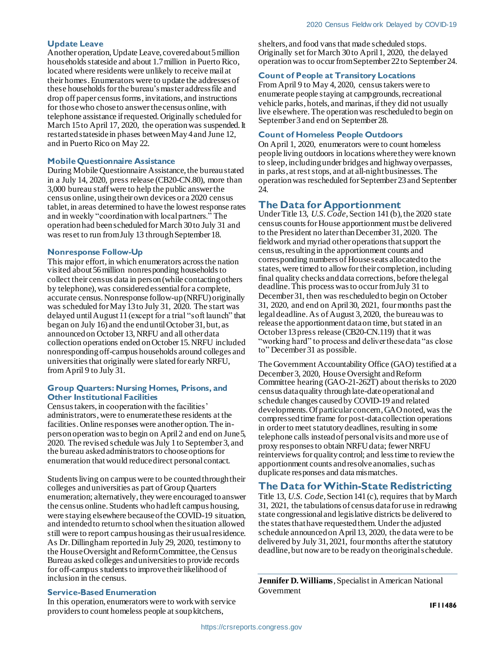#### **Update Leave**

Another operation, Update Leave, coveredabout 5 million households stateside and about 1.7 million in Puerto Rico, located where residents were unlikely to receive mail at their homes. Enumerators were to update the addresses of these households forthe bureau's master address file and drop off paper census forms,invitations, and instructions for those who chose to answer the census online, with telephone assistance if requested. Originally scheduled for March 15 to April 17, 2020, the operation was suspended. It restarted stateside in phases between May 4 and June 12, and in Puerto Rico on May 22.

#### **Mobile Questionnaire Assistance**

During Mobile Questionnaire Assistance, the bureau stated in a July 14, 2020, press release (CB20-CN.80), more than 3,000 bureau staff were to help the public answer the census online, using their own devices or a 2020 census tablet, in areas determined to have the lowest response rates and in weekly "coordination with local partners." The operation had been scheduled forMarch 30 to July 31 and was reset to run from July 13 through September 18.

#### **Nonresponse Follow-Up**

This major effort, in which enumerators across the nation visited about 56 million nonresponding householdsto collect their census data in person(while contacting others by telephone), was considered essential for a complete, accurate census. Nonresponse follow-up (NRFU) originally was scheduled for May 13 to July 31, 2020. The start was delayed until August 11(except for a trial "soft launch" that began on July 16) and the end untilOctober 31, but, as announced on October 13, NRFU and all other data collection operations ended on October 15. NRFU included nonresponding off-campus households around colleges and universities that originally were slated for early NRFU, from April 9 to July 31.

#### **Group Quarters: Nursing Homes, Prisons, and Other Institutional Facilities**

Census takers, in cooperation with the facilities' administrators, were to enumerate these residents at the facilities. Online responses were another option. The inperson operation was to begin on April 2 and end on June 5, 2020. The revised schedule wasJuly 1 to September 3, and the bureau askedadministrators to choose options for enumeration that would reduce direct personal contact.

Students living on campus were to be counted through their colleges and universities as part of Group Quarters enumeration; alternatively, they were encouraged to answer the census online. Students who had left campus housing, were staying elsewhere because of the COVID-19 situation, and intendedto return to school when the situation allowed still were to report campus housing as their usual residence. As Dr. Dillingham reportedin July 29, 2020, testimony to the House Oversight and Reform Committee, the Census Bureau asked colleges and universities to provide records for off-campus students to improve their likelihood of inclusion in the census.

#### **Service-Based Enumeration**

In this operation, enumerators were to work with service providers to count homeless people at soup kitchens,

shelters, and food vans that made scheduled stops. Originally set forMarch 30 to April 1, 2020, the delayed operationwas to occur from September 22 to September 24.

#### **Count of People at Transitory Locations**

From April 9 to May 4, 2020, census takers were to enumerate people staying at campgrounds, recreational vehicle parks, hotels, and marinas, if they did not usually live elsewhere.The operation was rescheduled to begin on September 3 and end on September 28.

#### **Count of Homeless People Outdoors**

On April 1, 2020, enumerators were to count homeless people living outdoors in locations where they were known to sleep, including under bridges and highway overpasses, in parks, at rest stops, and at all-night businesses.The operation was rescheduled forSeptember 23 and September 24.

#### **The Data for Apportionment**

Under Title 13, *U.S. Code*, Section 141 (b), the 2020 state census counts for House apportionment must be delivered to the President no later than December 31, 2020. The fieldwork and myriad other operations that support the census, resulting in the apportionment counts and corresponding numbers of House seats allocated to the states, were timed to allow fortheir completion, including final quality checks and data corrections, before thelegal deadline.This process was to occur from July 31 to December 31, then was rescheduled to begin on October 31, 2020, and end on April 30, 2021, fourmonths past the legaldeadline. As of August 3, 2020, the bureau was to release the apportionment data on time, but stated in an October 13 press release (CB20-CN.119) that it was "working hard" to process and deliver these data "as close to" December 31 as possible.

The Government Accountability Office (GAO) testified at a December 3, 2020, House Oversight and Reform Committee hearing (GAO-21-262T) about the risks to 2020 census data quality through late-date operational and schedule changes caused by COVID-19 and related developments. Of particular concern, GAO noted, was the compressedtime frame for post-data collection operations in order to meet statutory deadlines, resulting in some telephone calls instead of personal visits and more use of proxy responses to obtain NRFU data; fewer NRFU reinterviews for quality control; and less time to review the apportionment counts and resolve anomalies, such as duplicate responses and data mismatches.

# **The Data for Within-State Redistricting**

Title 13, *U.S. Code*, Section 141 (c), requires that by March 31, 2021, the tabulations of census data for use in redrawing state congressional and legislative districts be delivered to the states that have requested them. Under the adjusted schedule announced on April 13, 2020, the data were to be delivered by July 31, 2021, four months after the statutory deadline, but now are to be ready on the original schedule.

**Jennifer D. Williams**, Specialist in American National Government